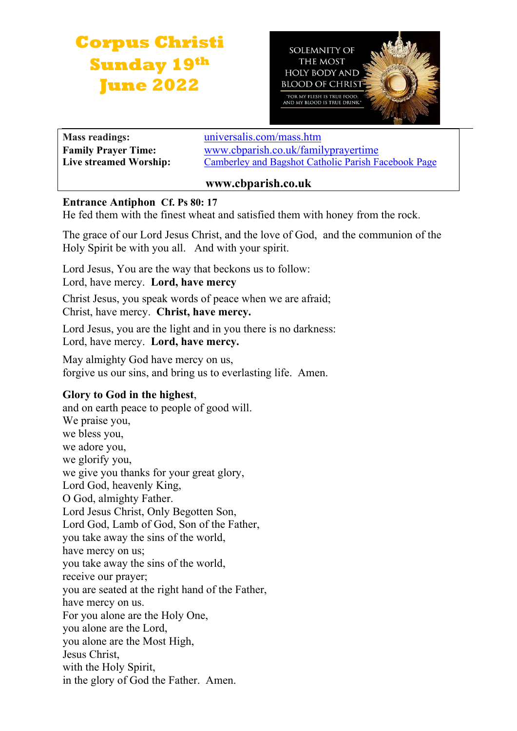# **Corpus Christi Sunday 19th June 2022**



**Mass readings:** [universalis.com/mass.htm](https://universalis.com/mass.htm) **Family Prayer Time:** www.cbparish.co.uk/familyprayertime **Live streamed Worship:** [Camberley and Bagshot Catholic Parish Facebook Page](https://www.facebook.com/Camberley-Bagshot-Catholic-Parish-102099478101801/)

## **www.cbparish.co.uk**

#### **Entrance Antiphon Cf. Ps 80: 17**

He fed them with the finest wheat and satisfied them with honey from the rock.

The grace of our Lord Jesus Christ, and the love of God, and the communion of the Holy Spirit be with you all. And with your spirit.

Lord Jesus, You are the way that beckons us to follow: Lord, have mercy. **Lord, have mercy**

Christ Jesus, you speak words of peace when we are afraid; Christ, have mercy. **Christ, have mercy.**

Lord Jesus, you are the light and in you there is no darkness: Lord, have mercy. **Lord, have mercy.**

May almighty God have mercy on us, forgive us our sins, and bring us to everlasting life. Amen.

## **Glory to God in the highest**,

and on earth peace to people of good will. We praise you, we bless you, we adore you, we glorify you, we give you thanks for your great glory, Lord God, heavenly King, O God, almighty Father. Lord Jesus Christ, Only Begotten Son, Lord God, Lamb of God, Son of the Father, you take away the sins of the world, have mercy on us; you take away the sins of the world, receive our prayer; you are seated at the right hand of the Father, have mercy on us. For you alone are the Holy One, you alone are the Lord, you alone are the Most High, Jesus Christ, with the Holy Spirit, in the glory of God the Father. Amen.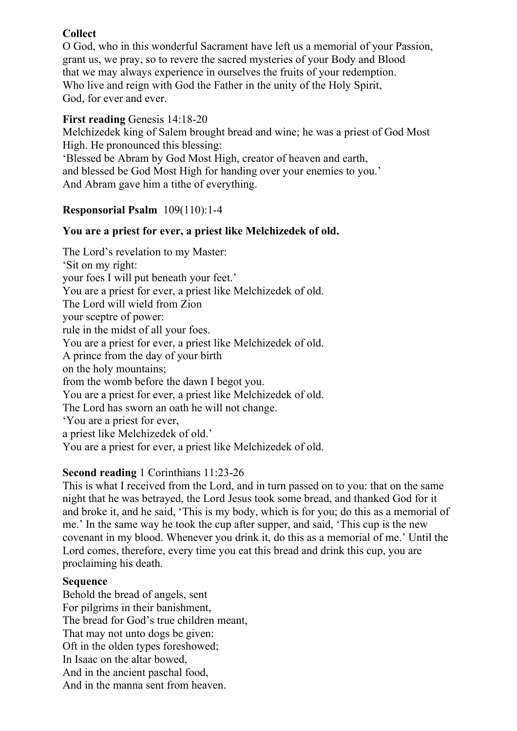## **Collect**

O God, who in this wonderful Sacrament have left us a memorial of your Passion, grant us, we pray, so to revere the sacred mysteries of your Body and Blood that we may always experience in ourselves the fruits of your redemption. Who live and reign with God the Father in the unity of the Holy Spirit, God, for ever and ever.

#### **First reading** Genesis 14:18-20

Melchizedek king of Salem brought bread and wine; he was a priest of God Most High. He pronounced this blessing:

'Blessed be Abram by God Most High, creator of heaven and earth, and blessed be God Most High for handing over your enemies to you.' And Abram gave him a tithe of everything.

## **Responsorial Psalm** 109(110):1-4

### **You are a priest for ever, a priest like Melchizedek of old.**

The Lord's revelation to my Master: 'Sit on my right: your foes I will put beneath your feet.' You are a priest for ever, a priest like Melchizedek of old. The Lord will wield from Zion your sceptre of power: rule in the midst of all your foes. You are a priest for ever, a priest like Melchizedek of old. A prince from the day of your birth on the holy mountains; from the womb before the dawn I begot you. You are a priest for ever, a priest like Melchizedek of old. The Lord has sworn an oath he will not change. 'You are a priest for ever, a priest like Melchizedek of old.' You are a priest for ever, a priest like Melchizedek of old.

#### **Second reading** 1 Corinthians 11:23-26

This is what I received from the Lord, and in turn passed on to you: that on the same night that he was betrayed, the Lord Jesus took some bread, and thanked God for it and broke it, and he said, 'This is my body, which is for you; do this as a memorial of me.' In the same way he took the cup after supper, and said, 'This cup is the new covenant in my blood. Whenever you drink it, do this as a memorial of me.' Until the Lord comes, therefore, every time you eat this bread and drink this cup, you are proclaiming his death.

#### **Sequence**

Behold the bread of angels, sent For pilgrims in their banishment, The bread for God's true children meant, That may not unto dogs be given: Oft in the olden types foreshowed; In Isaac on the altar bowed, And in the ancient paschal food, And in the manna sent from heaven.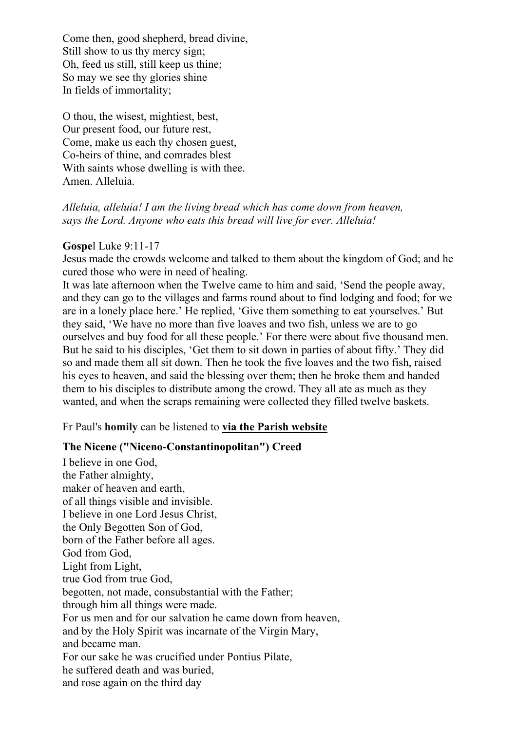Come then, good shepherd, bread divine, Still show to us thy mercy sign; Oh, feed us still, still keep us thine; So may we see thy glories shine In fields of immortality;

O thou, the wisest, mightiest, best, Our present food, our future rest, Come, make us each thy chosen guest, Co-heirs of thine, and comrades blest With saints whose dwelling is with thee. Amen. Alleluia.

#### *Alleluia, alleluia! I am the living bread which has come down from heaven, says the Lord. Anyone who eats this bread will live for ever. Alleluia!*

#### **Gospe**l Luke 9:11-17

Jesus made the crowds welcome and talked to them about the kingdom of God; and he cured those who were in need of healing.

It was late afternoon when the Twelve came to him and said, 'Send the people away, and they can go to the villages and farms round about to find lodging and food; for we are in a lonely place here.' He replied, 'Give them something to eat yourselves.' But they said, 'We have no more than five loaves and two fish, unless we are to go ourselves and buy food for all these people.' For there were about five thousand men. But he said to his disciples, 'Get them to sit down in parties of about fifty.' They did so and made them all sit down. Then he took the five loaves and the two fish, raised his eyes to heaven, and said the blessing over them; then he broke them and handed them to his disciples to distribute among the crowd. They all ate as much as they wanted, and when the scraps remaining were collected they filled twelve baskets.

#### Fr Paul's **homily** can be listened to **via the Parish [website](https://www.cbparish.co.uk/homilies)**

#### **The Nicene ("Niceno-Constantinopolitan") Creed**

I believe in one God, the Father almighty, maker of heaven and earth, of all things visible and invisible. I believe in one Lord Jesus Christ, the Only Begotten Son of God, born of the Father before all ages. God from God, Light from Light, true God from true God, begotten, not made, consubstantial with the Father; through him all things were made. For us men and for our salvation he came down from heaven, and by the Holy Spirit was incarnate of the Virgin Mary, and became man. For our sake he was crucified under Pontius Pilate, he suffered death and was buried, and rose again on the third day